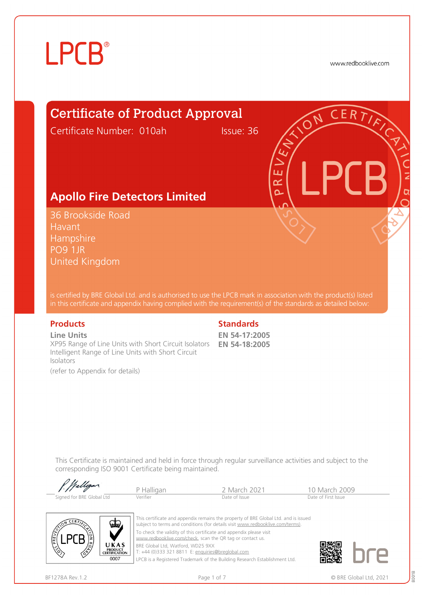www.redbooklive.com

### Certificate of Product Approval

Certificate Number: 010ah Issue: 36

ய œ  $\overline{\Omega}$ 

#### **Apollo Fire Detectors Limited**

36 Brookside Road Havant **Hampshire** PO9 1JR United Kingdom

is certified by BRE Global Ltd. and is authorised to use the LPCB mark in association with the product(s) listed in this certificate and appendix having complied with the requirement(s) of the standards as detailed below:

#### **Line Units**

XP95 Range of Line Units with Short Circuit Isolators **EN 54-18:2005** Intelligent Range of Line Units with Short Circuit Isolators

(refer to Appendix for details)

#### **Products** Standards **Standards**

**EN 54-17:2005**

This Certificate is maintained and held in force through regular surveillance activities and subject to the corresponding ISO 9001 Certificate being maintained.

| f. Walligan               | P Halligan | 2 March 2021  | 10 March 2009       |  |
|---------------------------|------------|---------------|---------------------|--|
|                           |            |               |                     |  |
| Signed for BRE Global Ltd | Verifier   | Date of Issue | Date of First Issue |  |



This certificate and appendix remains the property of BRE Global Ltd. and is issued subject to terms and conditions (for details visit [www.redbooklive.com/terms\)](http://www.redbooklive.com/terms)). To check the validity of this certificate and appendix please visit [www.redbooklive.com/check,](http://www.redbooklive.com/check) scan the QR tag or contact us. BRE Global Ltd, Watford, WD25 9XX

T: +44 (0)333 321 8811 E: [enquiries@breglobal.com](mailto:enquiries@breglobal.com)

LPCB is a Registered Trademark of the Building Research Establishment Ltd.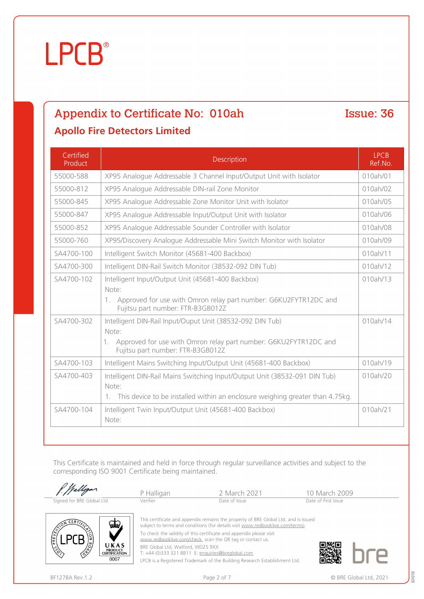### Appendix to Certificate No: 010ah Issue: 36

#### **Apollo Fire Detectors Limited**

| Certified<br>Product | <b>Description</b>                                                                                                                                                             | <b>LPCB</b><br>Ref.No. |
|----------------------|--------------------------------------------------------------------------------------------------------------------------------------------------------------------------------|------------------------|
| 55000-588            | XP95 Analogue Addressable 3 Channel Input/Output Unit with Isolator                                                                                                            | 010ah/01               |
| 55000-812            | XP95 Analogue Addressable DIN-rail Zone Monitor                                                                                                                                | 010ah/02               |
| 55000-845            | XP95 Analogue Addressable Zone Monitor Unit with Isolator                                                                                                                      | 010ah/05               |
| 55000-847            | XP95 Analogue Addressable Input/Output Unit with Isolator                                                                                                                      | 010ah/06               |
| 55000-852            | XP95 Analogue Addressable Sounder Controller with Isolator                                                                                                                     | 010ah/08               |
| 55000-760            | XP95/Discovery Analogue Addressable Mini Switch Monitor with Isolator                                                                                                          | 010ah/09               |
| SA4700-100           | Intelligent Switch Monitor (45681-400 Backbox)                                                                                                                                 | 010ah/11               |
| SA4700-300           | Intelligent DIN-Rail Switch Monitor (38532-092 DIN Tub)                                                                                                                        | 010ah/12               |
| SA4700-102           | Intelligent Input/Output Unit (45681-400 Backbox)<br>Note:<br>1. Approved for use with Omron relay part number: G6KU2FYTR12DC and<br>Fujitsu part number: FTR-B3GB012Z         | 010ah/13               |
| SA4700-302           | Intelligent DIN-Rail Input/Ouput Unit (38532-092 DIN Tub)<br>Note:<br>1. Approved for use with Omron relay part number: G6KU2FYTR12DC and<br>Fujitsu part number: FTR-B3GB012Z | 010ah/14               |
| SA4700-103           | Intelligent Mains Switching Input/Output Unit (45681-400 Backbox)                                                                                                              | 010ah/19               |
| SA4700-403           | Intelligent DIN-Rail Mains Switching Input/Output Unit (38532-091 DIN Tub)<br>Note:<br>1. This device to be installed within an enclosure weighing greater than 4.75kg.        | 010ah/20               |
| SA4700-104           | Intelligent Twin Input/Output Unit (45681-400 Backbox)<br>Note:                                                                                                                | 010ah/21               |

This Certificate is maintained and held in force through regular surveillance activities and subject to the corresponding ISO 9001 Certificate being maintained.

|                                                                               | P Halligan                        | 2 March 2021                                                                                                                                                          | 10 March 2009       |
|-------------------------------------------------------------------------------|-----------------------------------|-----------------------------------------------------------------------------------------------------------------------------------------------------------------------|---------------------|
| Signed for BRE Global Ltd                                                     | Verifier                          | Date of Issue                                                                                                                                                         | Date of First Issue |
| CERFT<br>√طط                                                                  |                                   | This certificate and appendix remains the property of BRE Global Ltd. and is issued<br>subject to terms and conditions (for details visit www.redbooklive.com/terms). |                     |
|                                                                               |                                   | To check the validity of this certificate and appendix please visit<br>www.redbooklive.com/check, scan the QR tag or contact us.                                      |                     |
| UKAS<br>$\mathcal{L}$<br><b>PRODUCT</b><br>∕ॐ<br><b>CERTIFICATION</b><br>0007 | BRE Global Ltd, Watford, WD25 9XX | T: +44 (0)333 321 8811 E: enquiries@breglobal.com                                                                                                                     |                     |

LPCB is a Registered Trademark of the Building Research Establishment Ltd.

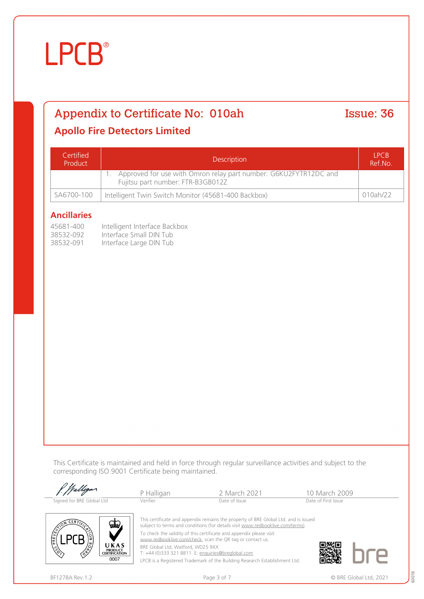#### Appendix to Certificate No: 010ah Issue: 36

#### **Apollo Fire Detectors Limited**

| Certified<br>Product | Description                                                                                           |          |
|----------------------|-------------------------------------------------------------------------------------------------------|----------|
|                      | Approved for use with Omron relay part number: G6KU2FYTR12DC and<br>Fujitsu part number: FTR-B3GB012Z |          |
| SA6700-100           | Intelligent Twin Switch Monitor (45681-400 Backbox)                                                   | 010ah/22 |

#### **Ancillaries**

| 45681-400 | Intelligent Interface Backbox |
|-----------|-------------------------------|
| 38532-092 | Interface Small DIN Tub       |
| 38532-091 | Interface Large DIN Tub       |

This Certificate is maintained and held in force through regular surveillance activities and subject to the corresponding ISO 9001 Certificate being maintained.

|                                                                                                                                                            | P Halligan                        | 2 March 2021                                                                                                                                                                                                                                                                                                                                                   | 10 March 2009       |
|------------------------------------------------------------------------------------------------------------------------------------------------------------|-----------------------------------|----------------------------------------------------------------------------------------------------------------------------------------------------------------------------------------------------------------------------------------------------------------------------------------------------------------------------------------------------------------|---------------------|
| Signed for BRE Global Ltd                                                                                                                                  | Verifier                          | Date of Issue                                                                                                                                                                                                                                                                                                                                                  | Date of First Issue |
| CERTT<br>ستص<br>PREVENT<br>$\begin{pmatrix} 10 \\ 10 \\ 10 \end{pmatrix}$<br>UKAS<br>$\mathcal{L}_{\mathcal{L}}$<br><b>PRODUCT</b><br><b>CERTIFICATION</b> | BRE Global Ltd, Watford, WD25 9XX | This certificate and appendix remains the property of BRE Global Ltd. and is issued<br>subject to terms and conditions (for details visit www.redbooklive.com/terms).<br>To check the validity of this certificate and appendix please visit<br>www.redbooklive.com/check, scan the QR tag or contact us.<br>T: +44 (0)333 321 8811 E: enquiries@breglobal.com |                     |
| 0007                                                                                                                                                       |                                   | LPCB is a Registered Trademark of the Building Research Establishment Ltd.                                                                                                                                                                                                                                                                                     |                     |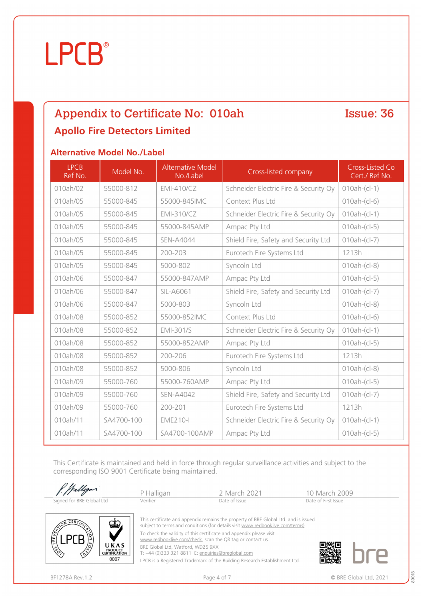### Appendix to Certificate No: 010ah Issue: 36 **Apollo Fire Detectors Limited**

#### **Alternative Model No./Label**

| <b>LPCB</b><br>Ref No. | Model No.  | <b>Alternative Model</b><br>No./Label | Cross-listed company                  | Cross-Listed Co<br>Cert./ Ref No. |
|------------------------|------------|---------------------------------------|---------------------------------------|-----------------------------------|
| 010ah/02               | 55000-812  | EMI-410/CZ                            | Schneider Electric Fire & Security Oy | $010ah-(c-1)$                     |
| 010ah/05               | 55000-845  | 55000-845IMC                          | Context Plus Ltd                      | $010ah-(c -6)$                    |
| 010ah/05               | 55000-845  | <b>EMI-310/CZ</b>                     | Schneider Electric Fire & Security Oy | $010ah-(c-1)$                     |
| 010ah/05               | 55000-845  | 55000-845AMP                          | Ampac Pty Ltd                         | $010ah-(c-5)$                     |
| 010ah/05               | 55000-845  | <b>SEN-A4044</b>                      | Shield Fire, Safety and Security Ltd  | $010ah-(c-7)$                     |
| 010ah/05               | 55000-845  | 200-203                               | Eurotech Fire Systems Ltd             | 1213h                             |
| 010ah/05               | 55000-845  | 5000-802                              | Syncoln Ltd                           | $010ah-(c-8)$                     |
| 010ah/06               | 55000-847  | 55000-847AMP                          | Ampac Pty Ltd                         | $010ah-(c-5)$                     |
| 010ah/06               | 55000-847  | SIL-A6061                             | Shield Fire, Safety and Security Ltd  | $010ah-(c-7)$                     |
| 010ah/06               | 55000-847  | 5000-803                              | Syncoln Ltd                           | $010ah-(c-8)$                     |
| 010ah/08               | 55000-852  | 55000-852IMC                          | Context Plus Ltd                      | $010ah-(c -6)$                    |
| 010ah/08               | 55000-852  | <b>EMI-301/S</b>                      | Schneider Electric Fire & Security Oy | $010ah-(c-1)$                     |
| 010ah/08               | 55000-852  | 55000-852AMP                          | Ampac Pty Ltd                         | $010ah-(c-5)$                     |
| 010ah/08               | 55000-852  | 200-206                               | Eurotech Fire Systems Ltd             | 1213h                             |
| 010ah/08               | 55000-852  | 5000-806                              | Syncoln Ltd                           | $010ah-(c-8)$                     |
| 010ah/09               | 55000-760  | 55000-760AMP                          | Ampac Pty Ltd                         | $010ah-(c-5)$                     |
| 010ah/09               | 55000-760  | <b>SEN-A4042</b>                      | Shield Fire, Safety and Security Ltd  | $010ah-(c-7)$                     |
| 010ah/09               | 55000-760  | 200-201                               | Eurotech Fire Systems Ltd             | 1213h                             |
| 010ah/11               | SA4700-100 | <b>EME210-I</b>                       | Schneider Electric Fire & Security Oy | $010ah-(c-1)$                     |
| 010ah/11               | SA4700-100 | SA4700-100AMP                         | Ampac Pty Ltd                         | $010ah-(c-5)$                     |

This Certificate is maintained and held in force through regular surveillance activities and subject to the corresponding ISO 9001 Certificate being maintained.

| P. Walligan               | P Halligan | 2 March 2021  | 10 March 2009       |  |
|---------------------------|------------|---------------|---------------------|--|
| Signed for BRE Global Ltd | Verifier   | Date of Issue | Date of First Issue |  |



This certificate and appendix remains the property of BRE Global Ltd. and is issued subject to terms and conditions (for details visit [www.redbooklive.com/terms\)](http://www.redbooklive.com/terms)). To check the validity of this certificate and appendix please visit

[www.redbooklive.com/check](http://www.redbooklive.com/check), scan the QR tag or contact us.

BRE Global Ltd, Watford, WD25 9XX

T: +44 (0)333 321 8811 E: [enquiries@breglobal.com](mailto:enquiries@breglobal.com)

LPCB is a Registered Trademark of the Building Research Establishment Ltd.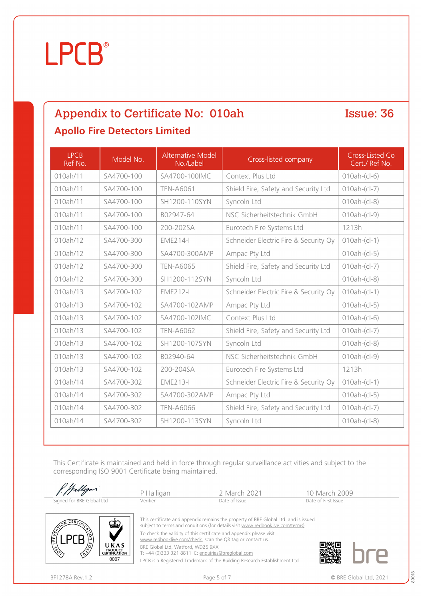# **LPCB**

### Appendix to Certificate No: 010ah Issue: 36 **Apollo Fire Detectors Limited**

LPCB Ref No. Model No. Alternative Model<br>No./Label Cross-listed company Cross-Listed Co Cert./ Ref No. 010ah/11 | SA4700-100 | SA4700-100IMC | Context Plus Ltd | 010ah-(cl-6) 010ah/11 | SA4700-100 | TEN-A6061 | Shield Fire, Safety and Security Ltd | 010ah-(cl-7) 010ah/11 SA4700-100 SH1200-110SYN Syncoln Ltd 1010ah-(cl-8) 010ah/11 SA4700-100 B02947-64 NSC Sicherheitstechnik GmbH 010ah-(cl-9) 010ah/11 SA4700-100 200-202SA Eurotech Fire Systems Ltd 1213h 010ah/12 | SA4700-300 | EME214-I | Schneider Electric Fire & Security Oy | 010ah-(cl-1) 010ah/12 | SA4700-300 | SA4700-300AMP | Ampac Pty Ltd | 010ah-(cl-5) 010ah/12  $\vert$  SA4700-300  $\vert$  TEN-A6065  $\vert$  Shield Fire, Safety and Security Ltd  $\vert$  010ah-(cl-7) 010ah/12 SA4700-300 SH1200-112SYN Syncoln Ltd 010ah-(cl-8) 010ah/13 | SA4700-102 | EME212-I | Schneider Electric Fire & Security Oy | 010ah-(cl-1) 010ah/13 | SA4700-102 | SA4700-102AMP | Ampac Pty Ltd | 010ah-(cl-5) 010ah/13 SA4700-102 SA4700-102IMC Context Plus Ltd 010ah-(cl-6) 010ah/13 | SA4700-102 | TEN-A6062 | Shield Fire, Safety and Security Ltd | 010ah-(cl-7) 010ah/13 | SA4700-102 | SH1200-107SYN | Syncoln Ltd | 010ah-(cl-8) 010ah/13 SA4700-102 B02940-64 NSC Sicherheitstechnik GmbH 010ah-(cl-9) 010ah/13 | SA4700-102 | 200-204SA | Eurotech Fire Systems Ltd | 1213h 010ah/14 | SA4700-302 | EME213-I | Schneider Electric Fire & Security Oy | 010ah-(cl-1) 010ah/14 | SA4700-302 | SA4700-302AMP | Ampac Pty Ltd | 010ah-(cl-5) 010ah/14 | SA4700-302 | TEN-A6066 | Shield Fire, Safety and Security Ltd | 010ah-(cl-7) 010ah/14 | SA4700-302 | SH1200-113SYN | Syncoln Ltd | 010ah-(cl-8)

This Certificate is maintained and held in force through regular surveillance activities and subject to the corresponding ISO 9001 Certificate being maintained.

|                                                                                                       | P Halligan                                                                             | 2 March 2021                                                                                                                                                          | 10 March 2009       |
|-------------------------------------------------------------------------------------------------------|----------------------------------------------------------------------------------------|-----------------------------------------------------------------------------------------------------------------------------------------------------------------------|---------------------|
| Signed for BRE Global Ltd                                                                             | Verifier                                                                               | Date of Issue                                                                                                                                                         | Date of First Issue |
| <b>CERT</b><br>فطعنا                                                                                  |                                                                                        | This certificate and appendix remains the property of BRE Global Ltd. and is issued<br>subject to terms and conditions (for details visit www.redbooklive.com/terms). |                     |
| ᇉ                                                                                                     | www.redbooklive.com/check, scan the QR tag or contact us.                              | To check the validity of this certificate and appendix please visit                                                                                                   |                     |
| UKAS<br>$\frac{\sqrt{3}}{2}$<br><b>PRODUCT</b><br><b>CERTIFICATION</b><br>$\sim$ $\sim$ $\sim$ $\sim$ | BRE Global Ltd, Watford, WD25 9XX<br>T: +44 (0)333 321 8811 E: enquiries@breglobal.com |                                                                                                                                                                       |                     |

LPCB is a Registered Trademark of the Building Research Establishment Ltd.

PRODUCT<br>CERTIFICATION  $0007$ 



BF1278A Rev.1.2 **Page 5 of 7** Page 5 of 7 **Page 5 of 7 CONS CONS CONS Page 5 of 7 CONS CONS CONS CONS CONS CONS CONS CONS CONS CONS CONS CONS CONS CONS CONS CONS CONS CONS CONS**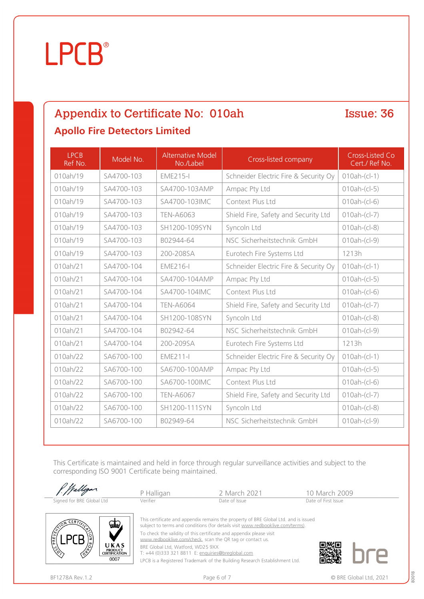# **LPCB**

### Appendix to Certificate No: 010ah Issue: 36 **Apollo Fire Detectors Limited**

LPCB Ref No. Model No. Alternative Model Thative Moder<br>No./Label **Cross-listed company** Cross-Listed Co Cert./ Ref No. 010ah/19 | SA4700-103 | EME215-I | Schneider Electric Fire & Security Oy | 010ah-(cl-1) 010ah/19 | SA4700-103 | SA4700-103AMP | Ampac Pty Ltd | 010ah-(cl-5) 010ah/19 SA4700-103 SA4700-103IMC Context Plus Ltd 010ah-(cl-6) 010ah/19 | SA4700-103 | TEN-A6063 | Shield Fire, Safety and Security Ltd | 010ah-(cl-7) 010ah/19 | SA4700-103 | SH1200-109SYN | Syncoln Ltd | 010ah-(cl-8) 010ah/19 | SA4700-103 | B02944-64 | NSC Sicherheitstechnik GmbH | 010ah-(cl-9) 010ah/19 | SA4700-103 | 200-208SA | Eurotech Fire Systems Ltd | 1213h 010ah/21 | SA4700-104 | EME216-I | Schneider Electric Fire & Security Oy | 010ah-(cl-1) 010ah/21 SA4700-104 SA4700-104AMP Ampac Pty Ltd 010ah-(cl-5) 010ah/21 | SA4700-104 | SA4700-104IMC | Context Plus Ltd | 010ah-(cl-6) 010ah/21 SA4700-104 TEN-A6064 Shield Fire, Safety and Security Ltd 010ah-(cl-7) 010ah/21 | SA4700-104 | SH1200-108SYN | Syncoln Ltd | 010ah-(cl-8) 010ah/21 | SA4700-104 | B02942-64 | NSC Sicherheitstechnik GmbH | 010ah-(cl-9) 010ah/21 SA4700-104 200-209SA Eurotech Fire Systems Ltd 1213h 010ah/22 SA6700-100 EME211-I Schneider Electric Fire & Security Oy 010ah-(cl-1) 010ah/22 | SA6700-100 | SA6700-100AMP | Ampac Pty Ltd | 010ah-(cl-5) 010ah/22 | SA6700-100 | SA6700-100IMC | Context Plus Ltd | 010ah-(cl-6) 010ah/22 SA6700-100 TEN-A6067 Shield Fire, Safety and Security Ltd 010ah-(cl-7) 010ah/22 | SA6700-100 | SH1200-111SYN | Syncoln Ltd | 010ah-(cl-8) 010ah/22 SA6700-100 B02949-64 NSC Sicherheitstechnik GmbH 010ah-(cl-9)

This Certificate is maintained and held in force through regular surveillance activities and subject to the corresponding ISO 9001 Certificate being maintained.

|                           |                                        | P Halligan                                                                             | 2 March 2021                                                                                                                                                          | 10 March 2009       |
|---------------------------|----------------------------------------|----------------------------------------------------------------------------------------|-----------------------------------------------------------------------------------------------------------------------------------------------------------------------|---------------------|
| Signed for BRE Global Ltd |                                        | Verifier                                                                               | Date of Issue                                                                                                                                                         | Date of First Issue |
|                           | $\frac{1}{2}$                          |                                                                                        | This certificate and appendix remains the property of BRE Global Ltd. and is issued<br>subject to terms and conditions (for details visit www.redbooklive.com/terms). |                     |
|                           | UKAS                                   |                                                                                        | To check the validity of this certificate and appendix please visit<br>www.redbooklive.com/check, scan the QR tag or contact us.                                      |                     |
| 137                       | <b>PRODUCT</b><br><b>CERTIFICATION</b> | BRE Global Ltd, Watford, WD25 9XX<br>T: +44 (0)333 321 8811 E: enquiries@breglobal.com |                                                                                                                                                                       |                     |

T: +44 (0)333 321 8811 E: [enquiries@breglobal.com](mailto:enquiries@breglobal.com)

LPCB is a Registered Trademark of the Building Research Establishment Ltd.

 $0007$ 



BF1278A Rev.1.2 **Page 6 of 7** Page 6 of 7 **COVID-2021 COVID-2021 COVID-2021 COVID-2021 COVID-2021**